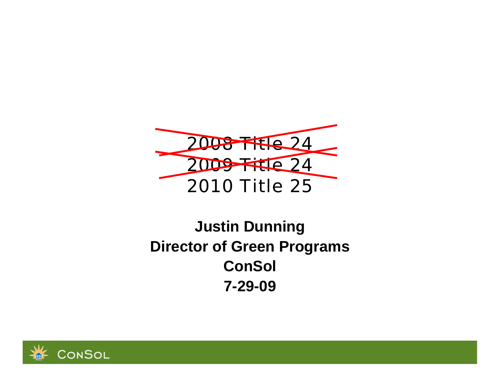

# **Justin Dunning Director of Green Programs ConSol 7-29-09**

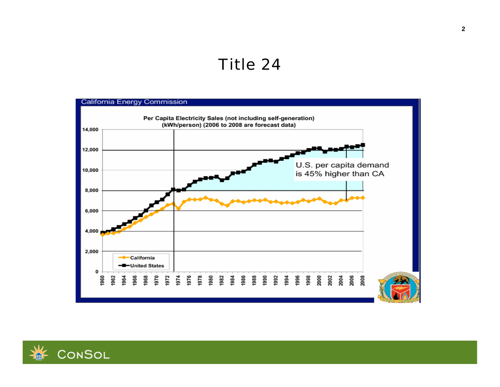# *Title 24*



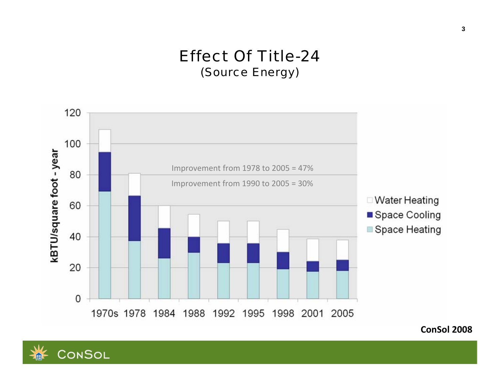### *Effect Of Title-24(Source Energy)*





**ConSol 2008**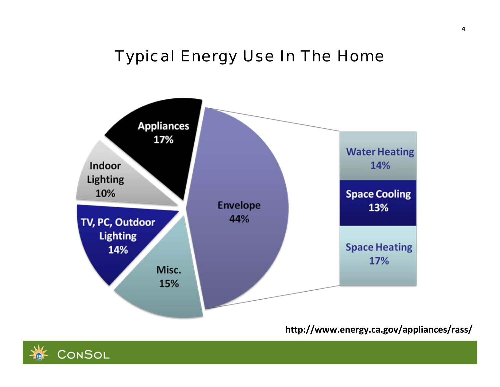# *Typical Energy Use In The Home*



**http://www.energy.ca.gov/appliances/rass/**

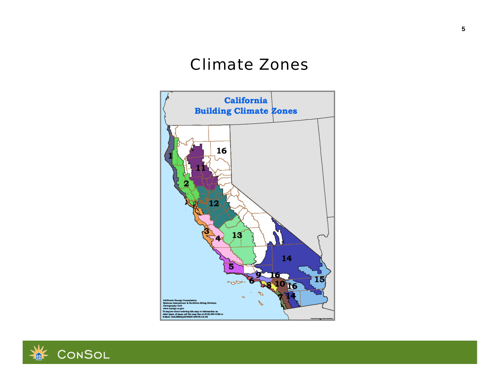### *Climate Zones*



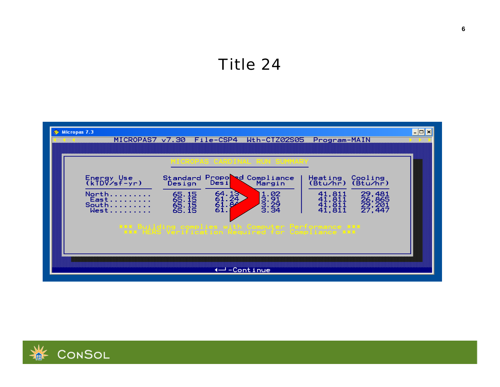# **Title 24**



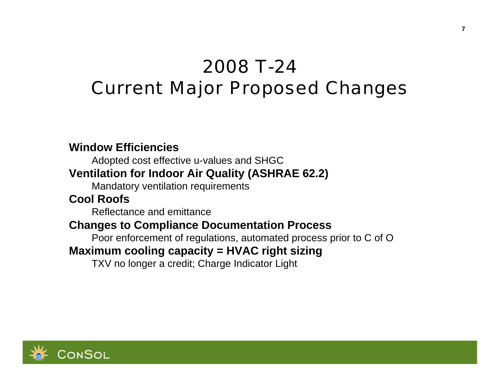# *2008 T-24 Current Major Proposed Changes*

#### **Window Efficiencies**

Adopted cost effective u-values and SHGC

### **Ventilation for Indoor Air Quality (ASHRAE 62.2)**

Mandatory ventilation requirements

### **Cool Roofs**

Reflectance and emittance

### **Changes to Compliance Documentation Process**

Poor enforcement of regulations, automated process prior to C of O

### **Maximum cooling capacity = HVAC right sizing**

TXV no longer a credit; Charge Indicator Light

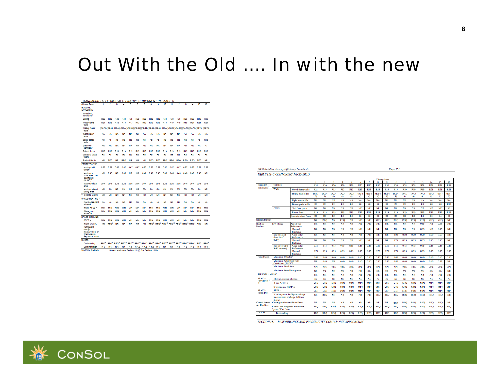# Out With the Old .... In with the new

| STANDARDS TABLE 151-C ALTERNATIVE COMPONENT PACKAGE D                      |                  |                        |                                                      |                 |                   |                 |                                                      |                        |                        |                 |                 |                 |                                                                                                            |                                                                                                                                         |                 |                        |
|----------------------------------------------------------------------------|------------------|------------------------|------------------------------------------------------|-----------------|-------------------|-----------------|------------------------------------------------------|------------------------|------------------------|-----------------|-----------------|-----------------|------------------------------------------------------------------------------------------------------------|-----------------------------------------------------------------------------------------------------------------------------------------|-----------------|------------------------|
| <b>Climate Zone</b>                                                        | 1                | $\overline{2}$         | 3                                                    | 4               | 5                 | 6               | 7                                                    | 8                      | 9                      | 10              | 11              | 12              | 13                                                                                                         | 14                                                                                                                                      | 15              | 16                     |
| <b>BUILDING</b><br><b>ENVELOPE</b>                                         |                  |                        |                                                      |                 |                   |                 |                                                      |                        |                        |                 |                 |                 |                                                                                                            |                                                                                                                                         |                 |                        |
| Insulation<br>minimums <sup>1</sup>                                        |                  |                        |                                                      |                 |                   |                 |                                                      |                        |                        |                 |                 |                 |                                                                                                            |                                                                                                                                         |                 |                        |
| Celling                                                                    | R38              | <b>R30</b>             | R30                                                  | <b>R30</b>      | <b>R30</b>        | <b>R30</b>      | <b>R30</b>                                           | R30                    | R30                    | R30             | <b>R38</b>      | <b>R38</b>      | <b>R38</b>                                                                                                 | <b>R38</b>                                                                                                                              | <b>R38</b>      | R38                    |
| Wood-frame<br>walls                                                        | R21              | R <sub>13</sub>        | R <sub>13</sub>                                      | R <sub>13</sub> | R <sub>13</sub>   | R <sub>13</sub> | <b>R13</b>                                           | R <sub>13</sub>        | R <sub>13</sub>        | R <sub>13</sub> | R <sub>19</sub> | R <sub>19</sub> | R <sub>19</sub>                                                                                            | R21                                                                                                                                     | R21             | R21                    |
| "Heavy mass"<br>walls                                                      |                  |                        |                                                      |                 |                   |                 |                                                      |                        |                        |                 |                 |                 |                                                                                                            | (R4.76) (R2.44) (R2.44) (R2.44) (R2.44) (R2.44) (R2.44) (R2.44) (R2.44) (R2.44) (R4.76) (R4.76) (R4.76) (R4.76) (R4.76) (R4.76) (R4.76) |                 |                        |
| "Light mass"<br>walls                                                      | <b>NA</b>        | <b>NA</b>              | <b>NA</b>                                            | <b>NA</b>       | NA                | NA              | NA                                                   | <b>NA</b>              | <b>NA</b>              | <b>NA</b>       | NA              | NA              | <b>NA</b>                                                                                                  | <b>NA</b>                                                                                                                               | <b>NA</b>       | <b>NA</b>              |
| Below-grade<br>walls                                                       | RD               | R <sub>0</sub>         | R <sub>0</sub>                                       | R <sub>0</sub>  | R <sub>0</sub>    | RD              | RO                                                   | R0                     | R <sub>0</sub>         | RO              | RD              | RD              | R <sub>D</sub>                                                                                             | RO                                                                                                                                      | R <sub>0</sub>  | R <sub>13</sub>        |
| Slab floor<br>perimeter                                                    | <b>NR</b>        | <b>NR</b>              | <b>NR</b>                                            | <b>NR</b>       | <b>NR</b>         | <b>NR</b>       | <b>NR</b>                                            | <b>NR</b>              | <b>NR</b>              | <b>NR</b>       | <b>NR</b>       | <b>NR</b>       | <b>NR</b>                                                                                                  | <b>NR</b>                                                                                                                               | <b>NR</b>       | R7                     |
| <b>Raised floors</b>                                                       | R <sub>19</sub>  | R <sub>19</sub>        | R <sub>19</sub>                                      | R <sub>19</sub> | <b>R19</b>        | R <sub>19</sub> | R <sub>19</sub>                                      | R <sub>19</sub>        | R <sub>19</sub>        | <b>R19</b>      | <b>R19</b>      | R <sub>19</sub> | R <sub>19</sub>                                                                                            | <b>R19</b>                                                                                                                              | R <sub>19</sub> | R <sub>19</sub>        |
| Concrete raised<br>floors                                                  | R8               | R8                     | R <sub>0</sub>                                       | R <sub>0</sub>  | RD                | RD              | RD                                                   | RO                     | R0                     | RO              | R8              | R4              | R8                                                                                                         | R8                                                                                                                                      | R4              | R8                     |
| <b>Radiant Barrier</b>                                                     | <b>NR</b>        | <b>REQ</b>             | <b>NR</b>                                            | <b>REQ</b>      | <b>NR</b>         | NR              | <b>NR</b>                                            | <b>REQ</b>             | <b>REQ</b>             | <b>REQ</b>      | <b>REQ</b>      | <b>REQ</b>      | <b>REQ</b>                                                                                                 | <b>REQ</b>                                                                                                                              | <b>REQ</b>      | <b>NR</b>              |
| <b>FENESTRATION</b>                                                        |                  |                        |                                                      |                 |                   |                 |                                                      |                        |                        |                 |                 |                 |                                                                                                            |                                                                                                                                         |                 |                        |
| Maximum U-<br>factor                                                       | 0.57             | 0.57                   | 0.67                                                 | 0.67            | 0.67              | 0.67            | 0.67                                                 | 0.67                   | 0.67                   | 0.57            | 0.57            | 0.57            | 0.57                                                                                                       | 0.57                                                                                                                                    | 0.57            | 0.55                   |
| Maximum<br>Solar Heat Gain<br>Coefficient<br>(SHGC) <sup>3</sup>           | <b>NR</b>        | 0.40                   | <b>NR</b>                                            | 0.40            | <b>NR</b>         | <b>NR</b>       | 0.40                                                 | 0.40                   | 0.40                   | 0.40            | 0.40            | 0.40            | 0.40                                                                                                       | 0.40                                                                                                                                    | 0.40            | <b>NR</b>              |
| Maximum total<br>area                                                      | 20%              | 20%                    | 20%                                                  | 20%             | 20%               | 20%             | 20%                                                  | 20%                    | 20%                    | 20%             | 20%             | 20%             | 20%                                                                                                        | 20%                                                                                                                                     | 20%             | 20%                    |
| <b>Maximum West</b><br>facing area                                         | <b>NR</b>        | 5%                     | <b>NR</b>                                            | 5%              | <b>NR</b>         | <b>NR</b>       | 5%                                                   | 5%                     | 5%                     | 5%              | 5%              | 5%              | 5%                                                                                                         | 5%                                                                                                                                      | 5%              | <b>NR</b>              |
| <b>THERMAL MASS<sup>4</sup></b>                                            | <b>NR</b>        | <b>NR</b>              | <b>NR</b>                                            | <b>NR</b>       | <b>NR</b>         | <b>NR</b>       | NR                                                   | <b>NR</b>              | <b>NR</b>              | NR              | <b>NR</b>       | NR              | <b>NR</b>                                                                                                  | <b>NR</b>                                                                                                                               | <b>NR</b>       | <b>NR</b>              |
| SPACE-HEATING <sup>5</sup>                                                 |                  |                        |                                                      |                 |                   |                 |                                                      |                        |                        |                 |                 |                 |                                                                                                            |                                                                                                                                         |                 |                        |
| Electric-resistant<br>allowed                                              | No               | No                     | No                                                   | <b>No</b>       | No                | No              | No                                                   | <b>No</b>              | <b>No</b>              | No              | No              | No              | No                                                                                                         | <b>No</b>                                                                                                                               | No              | No                     |
| If gas, AFUE -                                                             | MIN              | <b>MIN</b>             | MIN                                                  | MIN             | MIN               | MIN             | MIN                                                  | <b>MIN</b>             | <b>MIN</b>             | <b>MIN</b>      | MIN             | MIN             | MIN                                                                                                        | <b>MIN</b>                                                                                                                              | <b>MIN</b>      | MIN                    |
| If heat pump,<br>$HSPF^6$                                                  | <b>MIN</b>       | MIN                    | MIN                                                  | MIN             | MIN               | MIN             | MIN                                                  | MIN                    | <b>MIN</b>             | MIN             | MIN             | MIN             | MIN                                                                                                        | <b>MIN</b>                                                                                                                              | <b>MIN</b>      | MIN                    |
| SPACE-COOLING                                                              |                  |                        |                                                      |                 |                   |                 |                                                      |                        |                        |                 |                 |                 |                                                                                                            |                                                                                                                                         |                 |                        |
| SEER-                                                                      | MIN              | <b>MIN</b>             | MIN                                                  | MIN             | MIN               | MIN             | MIN                                                  | <b>MIN</b>             | <b>MIN</b>             | <b>MIN</b>      | MIN             | MIN             | <b>MIN</b>                                                                                                 | MIN                                                                                                                                     | <b>MIN</b>      | <b>MIN</b>             |
| If split system,                                                           | NR               | <b>REQ<sup>®</sup></b> | <b>NR</b>                                            | <b>NR</b>       | <b>NR</b>         | NR              | NR                                                   | <b>REQ<sup>®</sup></b> | <b>REQ<sup>®</sup></b> |                 |                 |                 | REQ <sup>12</sup> REQ <sup>12</sup> REQ <sup>12</sup> REQ <sup>13</sup> REQ <sup>14</sup>                  |                                                                                                                                         | <b>REQ</b>      | <b>NR</b>              |
| Refrigerant<br>charge<br>measurement or<br>Thermostatic<br>Expansion valve |                  |                        |                                                      |                 |                   |                 |                                                      |                        |                        |                 |                 |                 |                                                                                                            |                                                                                                                                         |                 |                        |
| <b>DUCTS</b>                                                               |                  |                        |                                                      |                 |                   |                 |                                                      |                        |                        |                 |                 |                 |                                                                                                            |                                                                                                                                         |                 |                        |
| Duct sealing                                                               | REQ <sup>®</sup> | <b>REQ<sup>®</sup></b> | REQ <sup>10</sup> REQ <sup>11</sup>                  |                 | REQ <sup>10</sup> |                 | REQ <sup>10</sup> REQ <sup>10</sup> REQ <sup>9</sup> |                        |                        |                 |                 |                 | REQ <sup>9</sup> REQ <sup>12</sup> REQ <sup>12</sup> REQ <sup>12</sup> REQ <sup>13</sup> REQ <sup>14</sup> |                                                                                                                                         | <b>REQ</b>      | <b>REQ<sup>®</sup></b> |
| <b>Duct Insulation</b>                                                     | R-6              | R-6                    | R-6                                                  | R-6             | R-6               |                 | R-4.2 R-4.2 R-4.2                                    |                        | R-6                    | R-6             | R-6             | R-6             | R-6                                                                                                        | R-8                                                                                                                                     | $R-8$           | R-8                    |
| <b><i>WATER-HEATING</i></b>                                                |                  |                        | System shall meet Section 151 (f) 8 or Section 151 b |                 |                   |                 |                                                      |                        |                        |                 |                 |                 |                                                                                                            |                                                                                                                                         |                 |                        |

2008 Building Energy Efficiency Standards TABLE 151-C COMPONENT PACKAGE D Page 151

|                                                                                |                                                               |                                                                        |                      |                      |                             |                             |                 |                             |                             |                      | Climate Zone                |                      |                 |                             |                             |                      |                             |                       |
|--------------------------------------------------------------------------------|---------------------------------------------------------------|------------------------------------------------------------------------|----------------------|----------------------|-----------------------------|-----------------------------|-----------------|-----------------------------|-----------------------------|----------------------|-----------------------------|----------------------|-----------------|-----------------------------|-----------------------------|----------------------|-----------------------------|-----------------------|
|                                                                                |                                                               |                                                                        |                      | 2                    | ٠                           | Δ                           | 5               | 6                           |                             | R                    | ۰                           | 10                   | п               | $\overline{12}$             | 13                          | 14                   | 15                          | 16                    |
| Coilings<br>Insulation<br>minimums <sup>1</sup><br>Walls                       |                                                               |                                                                        |                      | R30                  | R30                         | <b>R30</b>                  | R30             | R30                         | R30                         | R30                  | R30                         | R30                  | R38             | R38                         | R38                         | R38                  | <b>R38</b>                  | <b>R38</b>            |
|                                                                                |                                                               | Wood-frame walls                                                       | R21                  | <b>R13</b>           | <b>R13</b>                  | <b>R13</b>                  | <b>R13</b>      | R <sub>13</sub>             | <b>R13</b>                  | <b>R13</b>           | <b>R13</b>                  | <b>R13</b>           | <b>R19</b>      | <b>R19</b>                  | <b>R19</b>                  | R21                  | R21                         | R21                   |
|                                                                                |                                                               | Heavy mass walls                                                       | (R4.7)<br>6)         | (R2.4)<br>41         | (R2.4)<br>4)                | (R2.4)<br>4)                | (R2.4)<br>41    | (R2.4)<br>41                | (R2.4)<br>4)                | (R2.4)<br>41         | (R2.4)<br>4)                | (R2.4)<br>4)         | (R4.7<br>6)     | (R47)<br>6)                 | (R4.7)<br>61                | (R4.7)<br>61         | (R47<br>61                  | (R4.7<br>61           |
|                                                                                |                                                               |                                                                        |                      |                      |                             |                             |                 |                             |                             |                      |                             |                      |                 |                             |                             |                      |                             |                       |
|                                                                                |                                                               | Light mass walls                                                       | NA<br>R <sub>0</sub> | NA<br>R <sub>0</sub> | <b>NA</b><br>R <sub>0</sub> | <b>NA</b><br>R <sub>0</sub> | NA<br><b>RO</b> | <b>NA</b><br>R <sub>0</sub> | <b>NA</b><br>R <sub>0</sub> | NA<br>R <sub>0</sub> | <b>NA</b><br>R <sub>0</sub> | NA<br>R <sub>0</sub> | NA<br><b>RO</b> | <b>NA</b><br>R <sub>0</sub> | <b>NA</b><br>R <sub>0</sub> | NA<br>R <sub>0</sub> | <b>NA</b><br>R <sub>0</sub> | NA<br>R <sub>13</sub> |
|                                                                                | Flores                                                        | Below-grade walls                                                      |                      |                      |                             |                             |                 |                             |                             |                      |                             |                      |                 |                             |                             |                      |                             |                       |
|                                                                                |                                                               | Slab floor perim.                                                      | <b>NR</b>            | <b>NR</b>            | <b>NR</b>                   | <b>NR</b>                   | <b>NR</b>       | <b>NR</b>                   | <b>NR</b>                   | <b>NR</b>            | NR                          | <b>NR</b>            | <b>NR</b>       | <b>NR</b>                   | <b>NR</b>                   | NR                   | <b>NR</b>                   | R7                    |
|                                                                                |                                                               | <b>Raised floors</b>                                                   | <b>RI9</b>           | <b>R19</b>           | <b>R19</b>                  | <b>R19</b>                  | <b>R19</b>      | <b>R19</b>                  | <b>R19</b>                  | <b>R19</b>           | <b>R19</b>                  | <b>R19</b>           | <b>R19</b>      | <b>R19</b>                  | <b>R19</b>                  | <b>R19</b>           | <b>R19</b>                  | <b>R19</b>            |
|                                                                                |                                                               | Concrete raised floors                                                 | R8                   | R8                   | R <sub>0</sub>              | R <sub>0</sub>              | R <sub>0</sub>  | R <sub>0</sub>              | R <sub>0</sub>              | R <sub>0</sub>       | R <sub>0</sub>              | R <sub>0</sub>       | <b>R8</b>       | R4                          | R <sub>8</sub>              | R <sub>8</sub>       | R4                          | R <sub>8</sub>        |
| <b>Radiant Barrier</b>                                                         |                                                               |                                                                        | <b>NR</b>            | <b>REO</b>           | <b>NR</b>                   | <b>REO</b>                  | <b>NR</b>       | <b>NR</b>                   | <b>NR</b>                   | <b>REO</b>           | <b>REO</b>                  | <b>REO</b>           | <b>REO</b>      | <b>REO</b>                  | <b>REO</b>                  | <b>REO</b>           | <b>REO</b>                  | <b>NR</b>             |
| Roofing<br>Products                                                            | ow-sloped                                                     | <b>Ared Solar</b><br>Reflectance                                       | <b>NR</b>            | <b>NR</b>            | <b>NR</b>                   | <b>NR</b>                   | <b>NR</b>       | <b>NR</b>                   | <b>NR</b>                   | <b>NR</b>            | <b>NR</b>                   | <b>NR</b>            | <b>NR</b>       | <b>NR</b>                   | 0.55                        | <b>NR</b>            | 0.55                        | <b>NR</b>             |
|                                                                                |                                                               | Thermal<br>Emittance                                                   | <b>NR</b>            | <b>NR</b>            | <b>NR</b>                   | <b>NR</b>                   | <b>NR</b>       | <b>NR</b>                   | <b>NR</b>                   | <b>NR</b>            | <b>NR</b>                   | NR                   | <b>NR</b>       | <b>NR</b>                   | 0.75                        | <b>NR</b>            | 0.75                        | <b>NR</b>             |
| <b>Steep Sloped</b><br>(less than 5)<br>IN <sub>ft</sub><br>$1b/ft^2$ or more) |                                                               | Aged Solar<br>Reflectance                                              | <b>NR</b>            | <b>NR</b>            | <b>NR</b>                   | <b>NR</b>                   | <b>NR</b>       | <b>NR</b>                   | <b>NR</b>                   | <b>NR</b>            | <b>NR</b>                   | 0.20                 | 0.20            | 0.20                        | 0.20                        | 0.20                 | 0.20                        | <b>NR</b>             |
|                                                                                |                                                               | Thermal<br>Emittance                                                   | <b>NR</b>            | <b>NR</b>            | <b>NR</b>                   | <b>NR</b>                   | <b>NR</b>       | <b>NR</b>                   | <b>NR</b>                   | <b>NR</b>            | <b>NR</b>                   | 0.75                 | 0.75            | 0.75                        | 0.75                        | 0.75                 | 0.75                        | <b>NR</b>             |
|                                                                                | Steep Sloped (5)                                              | <b>Aged Solar</b><br>Reflectance                                       | 0.15                 | 0.15                 | 0.15                        | 0.15                        | 0.15            | 0.15                        | 0.15                        | 0.15                 | 0.15                        | 0.15                 | 0.15            | 0.15                        | 0.15                        | 0.15                 | 0.15                        | 0.15                  |
|                                                                                |                                                               | Thermal<br>Emittance                                                   | 0.75                 | 0.75                 | 0.75                        | 0.75                        | 0.75            | 0.75                        | 0.75                        | 0.75                 | 0.75                        | 0.75                 | 0.75            | 0.75                        | 0.75                        | 0.75                 | 0.75                        | 0.75                  |
| Fenestration                                                                   | Maximum U.factor                                              |                                                                        | 0.40                 | 0.40                 | 0.40                        | 0.40                        | 0.40            | 0.40                        | 0.40                        | 0.40                 | 0.40                        | 0.40                 | 0.40            | 0.40                        | 0.40                        | 0.40                 | 0.40                        | 0.40                  |
|                                                                                | Maximum Solar Heat Gain<br>Coefficient (SHGC) <sup>3</sup>    |                                                                        | <b>NR</b>            | 0.40                 | <b>NR</b>                   | 0.40                        | 0.40            | 0.40                        | 0.40                        | 0.40                 | 0.40                        | 0.40                 | 0.40            | 0.40                        | 0.40                        | 0.40                 | 0.35                        | <b>NR</b>             |
|                                                                                |                                                               | <b>Maximum Total Area</b>                                              |                      | 20%                  | 20%                         | 20%                         | 20%             | 20%                         | 20%                         | 20%                  | 20%                         | 20%                  | 20%             | 20%                         | 20%                         | 20%                  | 20%                         | 20%                   |
| Maximum West Facing Area                                                       |                                                               |                                                                        | <b>NR</b>            | 5%                   | <b>NR</b>                   | 5%                          | <b>NR</b>       | <b>NR</b>                   | 5%                          | 5%                   | 5%                          | 5%                   | 5%              | 5%                          | 5%                          | 5%                   | 5%                          | NR                    |
| <b>THERMAL MASS*</b>                                                           |                                                               |                                                                        | <b>NR</b>            | <b>NR</b>            | <b>NR</b>                   | <b>NR</b>                   | <b>NR</b>       | <b>NR</b>                   | <b>NR</b>                   | <b>NR</b>            | <b>NR</b>                   | <b>NR</b>            | <b>NR</b>       | <b>NR</b>                   | <b>NR</b>                   | NR                   | <b>NR</b>                   | <b>NR</b>             |
| <b>SPACE-</b>                                                                  | Electric-resistant allowed                                    |                                                                        | No                   | No                   | No                          | No                          | No              | No                          | No                          | No                   | No                          | No                   | No              | No                          | No                          | No                   | No                          | No                    |
| HEATING <sup>5</sup>                                                           | If gas, $AFUE =$                                              |                                                                        |                      | <b>MIN</b>           | <b>MIN</b>                  | <b>MIN</b>                  | <b>MIN</b>      | <b>MIN</b>                  | <b>MIN</b>                  | <b>MIN</b>           | <b>MIN</b>                  | <b>MIN</b>           | <b>MIN</b>      | <b>MIN</b>                  | <b>MIN</b>                  | <b>MIN</b>           | <b>MIN</b>                  | <b>MIN</b>            |
|                                                                                |                                                               | If heat pump, HSPF <sup>6</sup> =                                      |                      | <b>MIN</b>           | <b>MIN</b>                  | <b>MIN</b>                  | <b>MIN</b>      | <b>MIN</b>                  | MIN                         | <b>MIN</b>           | <b>MIN</b>                  | <b>MIN</b>           | <b>MIN</b>      | <b>MIN</b>                  | <b>MIN</b>                  | MIN                  | <b>MIN</b>                  | <b>MIN</b>            |
| <b>SPACE.</b><br><b>COOLING</b>                                                | $SFER =$                                                      |                                                                        |                      | <b>MIN</b>           | <b>MIN</b>                  | MIN                         | MIN             | <b>MIN</b>                  | MIN                         | <b>MIN</b>           | <b>MIN</b>                  | MIN                  | <b>MIN</b>      | <b>MIN</b>                  | MIN                         | <b>MIN</b>           | <b>MIN</b>                  | <b>MIN</b>            |
|                                                                                | display                                                       | If split system, Refrigerant charge<br>measurement or charge indicator |                      | <b>REO</b>           | <b>NR</b>                   | <b>NR</b>                   | <b>NR</b>       | <b>NR</b>                   | <b>NR</b>                   | <b>REO</b>           | <b>REO</b>                  | <b>REO</b>           | <b>REO</b>      | <b>REO</b>                  | <b>REO</b>                  | <b>REO</b>           | <b>REO</b>                  | <b>NR</b>             |
| <b>Central Forced</b>                                                          | Cooling Airflow and Watt Draw                                 |                                                                        | <b>NR</b>            | <b>NR</b>            | <b>NR</b>                   | <b>NR</b>                   | <b>NR</b>       | <b>NR</b>                   | <b>NR</b>                   | <b>NR</b>            | <b>NR</b>                   | <b>REO</b>           | <b>REQ</b>      | <b>REO</b>                  | <b>REO</b>                  | <b>REO</b>           | REO                         | NR                    |
| <b>Air Handlers</b>                                                            | lentral Fan Integrated Ventilation<br><b>System Watt Draw</b> |                                                                        | <b>REO</b>           | <b>REO</b>           | <b>REO</b>                  | <b>REO</b>                  | <b>REO</b>      | <b>REO</b>                  | <b>REO</b>                  | <b>REO</b>           | <b>REO</b>                  | <b>REO</b>           | <b>REO</b>      | <b>REO</b>                  | <b>REO</b>                  | <b>REO</b>           | <b>REO</b>                  | <b>REO</b>            |
| <b>DUCTS</b>                                                                   | Duct scaling                                                  |                                                                        | <b>REO</b>           | <b>REO</b>           | <b>REO</b>                  | <b>REO</b>                  | <b>REO</b>      | <b>REO</b>                  | <b>REO</b>                  | <b>REO</b>           | <b>REO</b>                  | <b>REO</b>           | <b>REO</b>      | <b>REO</b>                  | <b>REO</b>                  | <b>REO</b>           | <b>REO</b>                  | <b>REO</b>            |

SECTION 151 - PERFORMANCE AND PRESCRIPTIVE COMPLIANCE APPROACHES

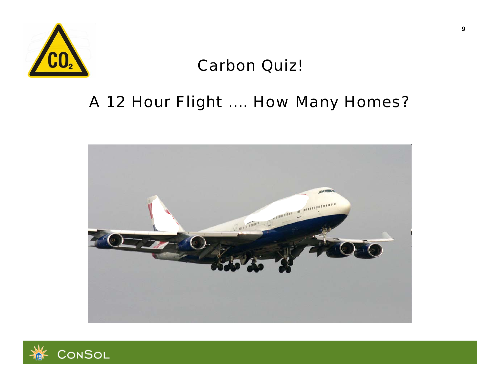

# **Carbon Quiz!**

# A 12 Hour Flight .... How Many Homes?



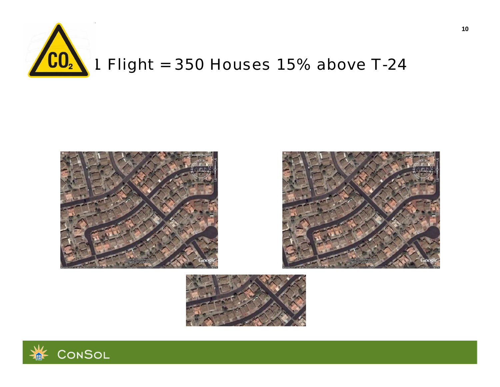

# *1 Flight = 350 Houses 15% above T-24*







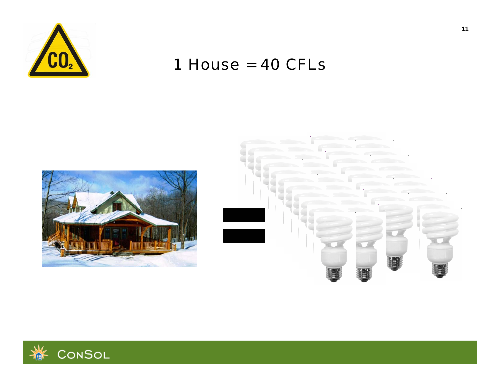

# 1 House = CFLs





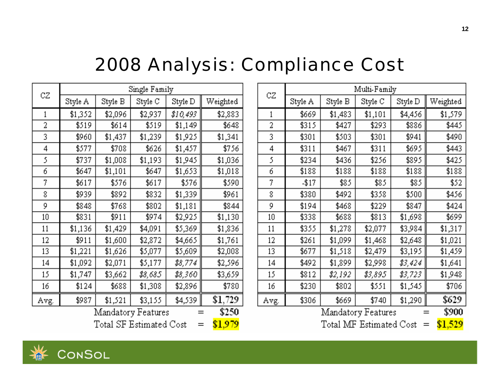# *2008 Analysis: Compliance Cost*

|                             | Single Family |         |         |          |          |  |  |  |  |  |
|-----------------------------|---------------|---------|---------|----------|----------|--|--|--|--|--|
| CZ                          | Style A       | Style B | Style C | Style D  | Weighted |  |  |  |  |  |
| 1                           | \$1,352       | \$2,096 | \$2,937 | \$10,493 | \$2,883  |  |  |  |  |  |
| 2                           | \$519         | \$614   | \$519   | \$1,149  | \$648    |  |  |  |  |  |
| 3                           | \$960         | \$1,437 | \$1,239 | \$1,925  | \$1,341  |  |  |  |  |  |
| 4                           | \$577         | \$708   | \$626   | \$1,457  | \$756    |  |  |  |  |  |
| 5                           | \$737         | \$1,008 | \$1,193 | \$1,945  | \$1,036  |  |  |  |  |  |
| 6                           | \$647         | \$1,101 | \$647   | \$1,653  | \$1,018  |  |  |  |  |  |
| 7                           | \$617         | \$576   | \$617   | \$576    | \$590    |  |  |  |  |  |
| 8                           | \$939         | \$892   | \$832   | \$1,339  | \$961    |  |  |  |  |  |
| 9                           | \$848         | \$768   | \$802   | \$1,181  | \$844    |  |  |  |  |  |
| 10                          | \$831         | \$911   | \$974   | \$2,925  | \$1,130  |  |  |  |  |  |
| 11                          | \$1,136       | \$1,429 | \$4,091 | \$5,369  | \$1,836  |  |  |  |  |  |
| 12                          | \$911         | \$1,600 | \$2,872 | \$4,665  | \$1,761  |  |  |  |  |  |
| 13                          | \$1,221       | \$1,626 | \$5,077 | \$5,609  | \$2,008  |  |  |  |  |  |
| 14                          | \$1,092       | \$2,071 | \$5,177 | \$8,774  | \$2,596  |  |  |  |  |  |
| 15                          | \$1,747       | \$3,662 | \$8,685 | \$8,360  | \$3,659  |  |  |  |  |  |
| 16                          | \$124         | \$688   | \$1,308 | \$2,896  | \$780    |  |  |  |  |  |
| Avg.                        | \$987         | \$1,521 | \$3,155 | \$4,539  | \$1,729  |  |  |  |  |  |
| \$250<br>Mandatory Features |               |         |         |          |          |  |  |  |  |  |

Total SF Estimated Cost  $=$ 

\$1,979

| CZ                 | Multi-Family                       |         |         |         |          |  |  |  |  |  |
|--------------------|------------------------------------|---------|---------|---------|----------|--|--|--|--|--|
|                    | Style A                            | Style B | Style C | Style D | Weighted |  |  |  |  |  |
| 1                  | \$669                              | \$1,483 | \$1,101 | \$4,456 | \$1,579  |  |  |  |  |  |
| 2                  | \$315                              | \$427   | \$293   | \$886   | \$445    |  |  |  |  |  |
| 3                  | \$301                              | \$503   | \$301   | \$941   | \$490    |  |  |  |  |  |
| 4                  | \$311                              | \$467   | \$311   | \$695   | \$443    |  |  |  |  |  |
| 5                  | \$234                              | \$436   | \$256   | \$895   | \$425    |  |  |  |  |  |
| б                  | \$188                              | \$188   | \$188   | \$188   | \$188    |  |  |  |  |  |
| 7                  | $-117$                             | \$85    | \$85    | \$85    | \$52     |  |  |  |  |  |
| 8                  | \$380                              | \$492   | \$358   | \$500   | \$456    |  |  |  |  |  |
| 9                  | \$194                              | \$468   | \$229   | \$847   | \$424    |  |  |  |  |  |
| 10                 | \$338                              | \$688   | \$813   | \$1,698 | \$699    |  |  |  |  |  |
| 11                 | \$355                              | \$1,278 | \$2,077 | \$3,984 | \$1,317  |  |  |  |  |  |
| 12                 | \$261                              | \$1,099 | \$1,468 | \$2,648 | \$1,021  |  |  |  |  |  |
| 13                 | \$677                              | \$1,518 | \$2,479 | \$3,195 | \$1,459  |  |  |  |  |  |
| 14                 | \$492                              | \$1,899 | \$2,998 | \$3,424 | \$1,641  |  |  |  |  |  |
| 15                 | \$812                              | \$2,192 | \$3,895 | \$3,723 | \$1,948  |  |  |  |  |  |
| 16                 | \$230                              | \$802   | \$551   | \$1,545 | \$706    |  |  |  |  |  |
| Avg.               | \$306                              | \$669   | \$740   | \$1,290 | \$629    |  |  |  |  |  |
| Mandatory Features |                                    |         |         |         |          |  |  |  |  |  |
|                    | \$1,529<br>Total MF Estimated Cost |         |         |         |          |  |  |  |  |  |

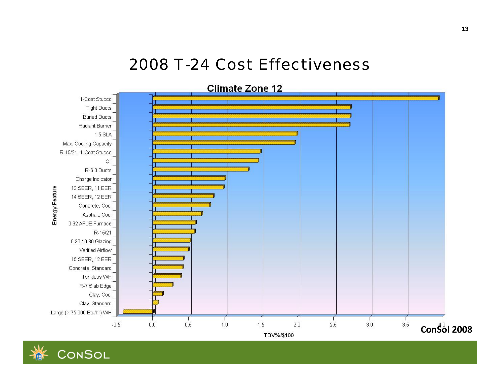# *2008 T-24 Cost Effectiveness*



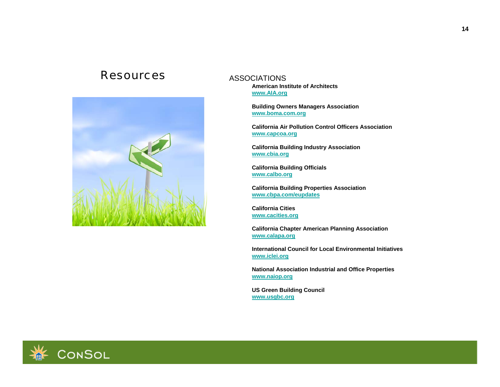#### *Resources*



#### **ASSOCIATIONS**

**American Institute of Architects www.AIA.org**

**Building Owners Managers Association www.boma.com.org**

**California Air Pollution Control Officers Associationwww.capcoa.org**

**California Building Industry Association www.cbia.org**

**California Building Officials www.calbo.org**

**California Building Properties Association www.cbpa.com/eupdates**

**California Cities www.cacities.org**

**California Chapter American Planning Association www.calapa.org**

**International Council for Local Environmental Initiatives www.iclei.org**

**National Association Industrial and Office Properties www.naiop.org**

**US Green Building Council [www.usgbc.org](http://www.usgbc.org/)**

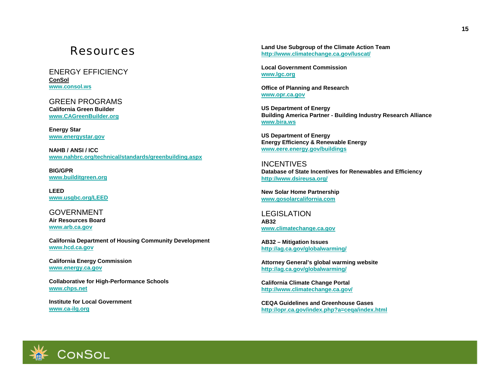#### *Resources*

ENERGY EFFICIENCY**ConSol [www.consol.ws](http://www.consol.ws/)**

GREEN PROGRAMS**California Green Builder [www.CAGreenBuilder.org](http://www.cagreenbuilder.org/)**

**Energy Star www.energystar.gov**

**NAHB / ANSI / ICCwww.nahbrc.org/technical/standards/greenbuilding.aspx**

**BIG/GPRwww.builditgreen.org**

**LEEDwww.usgbc.org/LEED**

GOVERNMENT **Air Resources Board www.arb.ca.gov**

**California Department of Housing Community Development www.hcd.ca.gov**

**California Energy Commission www.energy.ca.gov**

**Collaborative for High-Performance Schools www.chps.net**

**Institute for Local Governmentwww.ca-ilg.org**

**Land Use Subgroup of the Climate Action Team <http://www.climatechange.ca.gov/luscat/>**

**Local Government Commission www.lgc.org**

**Office of Planning and Research www.opr.ca.gov**

**US Department of Energy Building America Partner - Building Industry Research Alliance www.bira.ws**

**US Department of Energy Energy Efficiency & Renewable Energy www.eere.energy.gov/buildings**

INCENTIVES**Database of State Incentives for Renewables and Efficiency <http://www.dsireusa.org/>**

**New Solar Home Partnership www.gosolarcalifornia.com**

LEGISLATION**AB32 www.climatechange.ca.gov**

**AB32 – Mitigation Issues http://ag.ca.gov/globalwarming/**

**Attorney General's global warming website http://ag.ca.gov/globalwarming/**

**California Climate Change Portal http:/[/www.climatechange.ca.gov/](http://www.climatechange.ca.gov/)**

**CEQA Guidelines and Greenhouse Gases <http://opr.ca.gov/index.php?a=ceqa/index.html>**